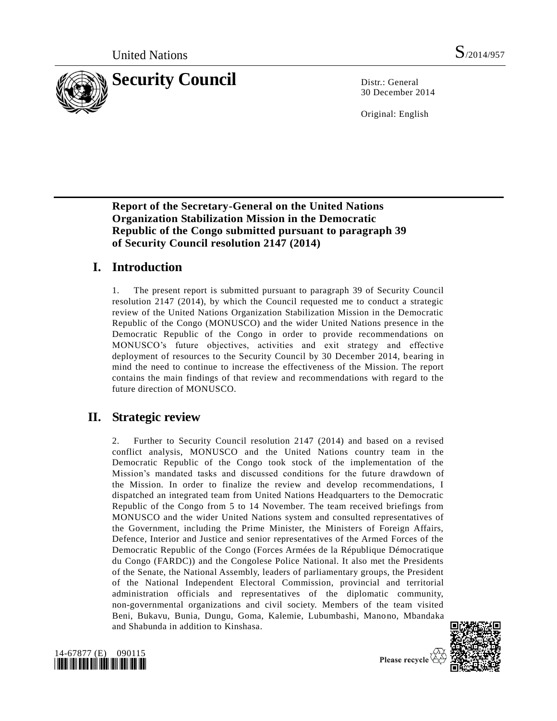

30 December 2014

Original: English

# **Report of the Secretary-General on the United Nations Organization Stabilization Mission in the Democratic Republic of the Congo submitted pursuant to paragraph 39 of Security Council resolution 2147 (2014)**

# **I. Introduction**

1. The present report is submitted pursuant to paragraph 39 of Security Council resolution 2147 (2014), by which the Council requested me to conduct a strategic review of the United Nations Organization Stabilization Mission in the Democratic Republic of the Congo (MONUSCO) and the wider United Nations presence in the Democratic Republic of the Congo in order to provide recommendations on MONUSCO's future objectives, activities and exit strategy and effective deployment of resources to the Security Council by 30 December 2014, bearing in mind the need to continue to increase the effectiveness of the Mission. The report contains the main findings of that review and recommendations with regard to the future direction of MONUSCO.

# **II. Strategic review**

2. Further to Security Council resolution 2147 (2014) and based on a revised conflict analysis, MONUSCO and the United Nations country team in the Democratic Republic of the Congo took stock of the implementation of the Mission's mandated tasks and discussed conditions for the future drawdown of the Mission. In order to finalize the review and develop recommendations, I dispatched an integrated team from United Nations Headquarters to the Democratic Republic of the Congo from 5 to 14 November. The team received briefings from MONUSCO and the wider United Nations system and consulted representatives of the Government, including the Prime Minister, the Ministers of Foreign Affairs, Defence, Interior and Justice and senior representatives of the Armed Forces of the Democratic Republic of the Congo (Forces Armées de la République Démocratique du Congo (FARDC)) and the Congolese Police National. It also met the Presidents of the Senate, the National Assembly, leaders of parliamentary groups, the President of the National Independent Electoral Commission, provincial and territorial administration officials and representatives of the diplomatic community, non-governmental organizations and civil society. Members of the team visited Beni, Bukavu, Bunia, Dungu, Goma, Kalemie, Lubumbashi, Manono, Mbandaka and Shabunda in addition to Kinshasa.



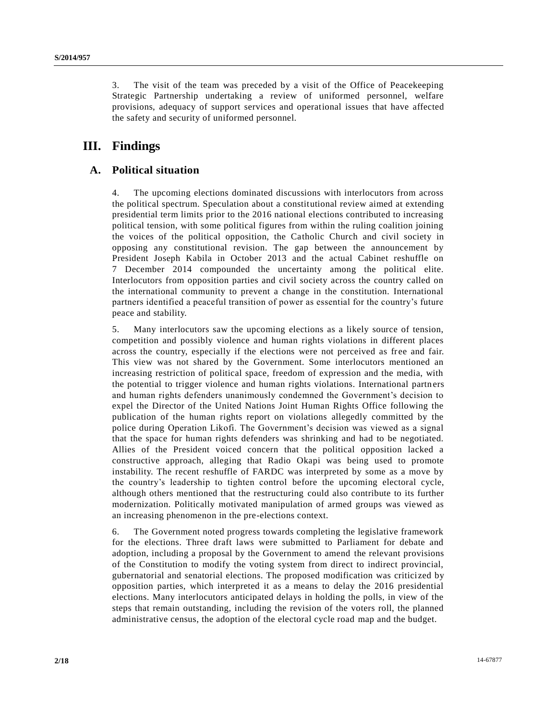3. The visit of the team was preceded by a visit of the Office of Peacekeeping Strategic Partnership undertaking a review of uniformed personnel, welfare provisions, adequacy of support services and operational issues that have affected the safety and security of uniformed personnel.

# **III. Findings**

## **A. Political situation**

4. The upcoming elections dominated discussions with interlocutors from across the political spectrum. Speculation about a constitutional review aimed at extending presidential term limits prior to the 2016 national elections contributed to increasing political tension, with some political figures from within the ruling coalition joining the voices of the political opposition, the Catholic Church and civil society in opposing any constitutional revision. The gap between the announcement by President Joseph Kabila in October 2013 and the actual Cabinet reshuffle on 7 December 2014 compounded the uncertainty among the political elite. Interlocutors from opposition parties and civil society across the country called on the international community to prevent a change in the constitution. International partners identified a peaceful transition of power as essential for the country's future peace and stability.

5. Many interlocutors saw the upcoming elections as a likely source of tension, competition and possibly violence and human rights violations in different places across the country, especially if the elections were not perceived as free and fair. This view was not shared by the Government. Some interlocutors mentioned an increasing restriction of political space, freedom of expression and the media, with the potential to trigger violence and human rights violations. International partn ers and human rights defenders unanimously condemned the Government's decision to expel the Director of the United Nations Joint Human Rights Office following the publication of the human rights report on violations allegedly committed by the police during Operation Likofi. The Government's decision was viewed as a signal that the space for human rights defenders was shrinking and had to be negotiated. Allies of the President voiced concern that the political opposition lacked a constructive approach, alleging that Radio Okapi was being used to promote instability. The recent reshuffle of FARDC was interpreted by some as a move by the country's leadership to tighten control before the upcoming electoral cycle, although others mentioned that the restructuring could also contribute to its further modernization. Politically motivated manipulation of armed groups was viewed as an increasing phenomenon in the pre-elections context.

6. The Government noted progress towards completing the legislative framework for the elections. Three draft laws were submitted to Parliament for debate and adoption, including a proposal by the Government to amend the relevant provisions of the Constitution to modify the voting system from direct to indirect provincial, gubernatorial and senatorial elections. The proposed modification was critici zed by opposition parties, which interpreted it as a means to delay the 2016 presidential elections. Many interlocutors anticipated delays in holding the polls, in view of the steps that remain outstanding, including the revision of the voters roll, the planned administrative census, the adoption of the electoral cycle road map and the budget.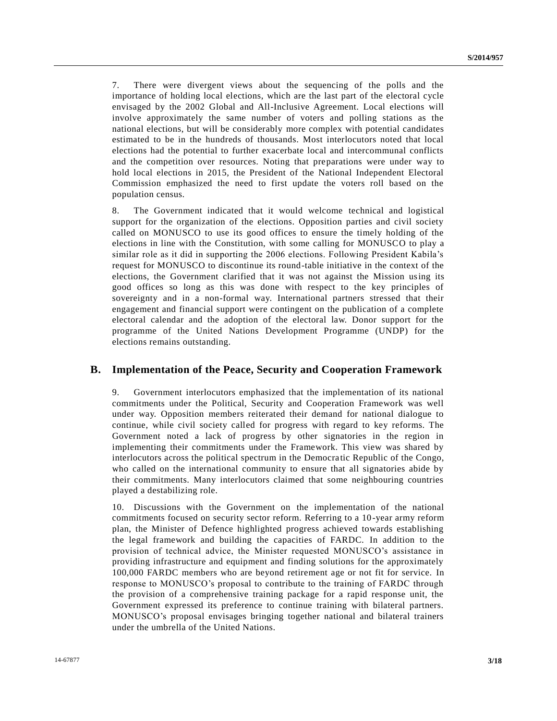7. There were divergent views about the sequencing of the polls and the importance of holding local elections, which are the last part of the electoral cycle envisaged by the 2002 Global and All-Inclusive Agreement. Local elections will involve approximately the same number of voters and polling stations as the national elections, but will be considerably more complex with potential candidates estimated to be in the hundreds of thousands. Most interlocutors noted that local elections had the potential to further exacerbate local and intercommunal conflicts and the competition over resources. Noting that preparations were under way to hold local elections in 2015, the President of the National Independent Electoral Commission emphasized the need to first update the voters roll based on the population census.

8. The Government indicated that it would welcome technical and logistical support for the organization of the elections. Opposition parties and civil society called on MONUSCO to use its good offices to ensure the timely holding of the elections in line with the Constitution, with some calling for MONUSCO to play a similar role as it did in supporting the 2006 elections. Following President Kabila's request for MONUSCO to discontinue its round-table initiative in the context of the elections, the Government clarified that it was not against the Mission using its good offices so long as this was done with respect to the key principles of sovereignty and in a non-formal way. International partners stressed that their engagement and financial support were contingent on the publication of a complete electoral calendar and the adoption of the electoral law. Donor support for the programme of the United Nations Development Programme (UNDP) for the elections remains outstanding.

### **B. Implementation of the Peace, Security and Cooperation Framework**

9. Government interlocutors emphasized that the implementation of its national commitments under the Political, Security and Cooperation Framework was well under way. Opposition members reiterated their demand for national dialogue to continue, while civil society called for progress with regard to key reforms. The Government noted a lack of progress by other signatories in the region in implementing their commitments under the Framework. This view was shared by interlocutors across the political spectrum in the Democratic Republic of the Congo, who called on the international community to ensure that all signatories abide by their commitments. Many interlocutors claimed that some neighbouring countries played a destabilizing role.

10. Discussions with the Government on the implementation of the national commitments focused on security sector reform. Referring to a 10-year army reform plan, the Minister of Defence highlighted progress achieved towards establishing the legal framework and building the capacities of FARDC. In addition to the provision of technical advice, the Minister requested MONUSCO's assistance in providing infrastructure and equipment and finding solutions for the approximately 100,000 FARDC members who are beyond retirement age or not fit for service. In response to MONUSCO's proposal to contribute to the training of FARDC through the provision of a comprehensive training package for a rapid response unit, the Government expressed its preference to continue training with bilateral partners. MONUSCO's proposal envisages bringing together national and bilateral trainers under the umbrella of the United Nations.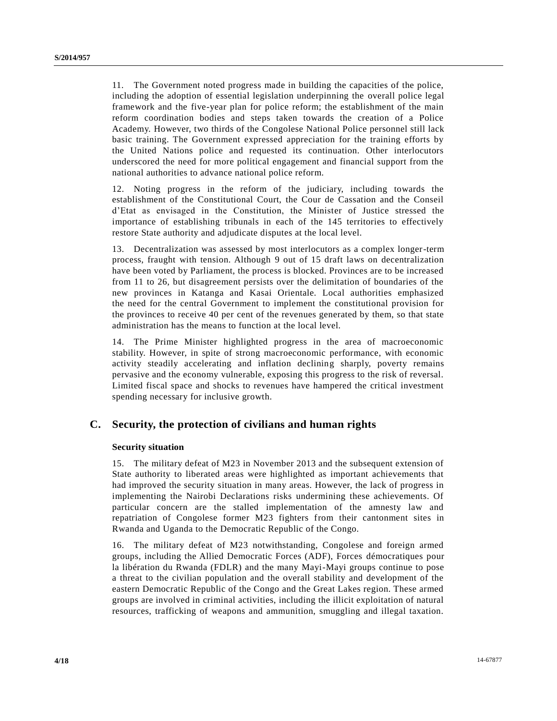11. The Government noted progress made in building the capacities of the police, including the adoption of essential legislation underpinning the overall police legal framework and the five-year plan for police reform; the establishment of the main reform coordination bodies and steps taken towards the creation of a Police Academy. However, two thirds of the Congolese National Police personnel still lack basic training. The Government expressed appreciation for the training efforts by the United Nations police and requested its continuation. Other interlocutors underscored the need for more political engagement and financial support from the national authorities to advance national police reform.

12. Noting progress in the reform of the judiciary, including towards the establishment of the Constitutional Court, the Cour de Cassation and the Conseil d'Etat as envisaged in the Constitution, the Minister of Justice stressed the importance of establishing tribunals in each of the 145 territories to effectively restore State authority and adjudicate disputes at the local level.

13. Decentralization was assessed by most interlocutors as a complex longer-term process, fraught with tension. Although 9 out of 15 draft laws on decentralization have been voted by Parliament, the process is blocked. Provinces are to be increased from 11 to 26, but disagreement persists over the delimitation of boundaries of the new provinces in Katanga and Kasai Orientale. Local authorities emphasized the need for the central Government to implement the constitutional provision for the provinces to receive 40 per cent of the revenues generated by them, so that state administration has the means to function at the local level.

14. The Prime Minister highlighted progress in the area of macroeconomic stability. However, in spite of strong macroeconomic performance, with economic activity steadily accelerating and inflation declining sharply, poverty remains pervasive and the economy vulnerable, exposing this progress to the risk of reversal. Limited fiscal space and shocks to revenues have hampered the critical investment spending necessary for inclusive growth.

## **C. Security, the protection of civilians and human rights**

### **Security situation**

15. The military defeat of M23 in November 2013 and the subsequent extension of State authority to liberated areas were highlighted as important achievements that had improved the security situation in many areas. However, the lack of progress in implementing the Nairobi Declarations risks undermining these achievements. Of particular concern are the stalled implementation of the amnesty law and repatriation of Congolese former M23 fighters from their cantonment sites in Rwanda and Uganda to the Democratic Republic of the Congo.

16. The military defeat of M23 notwithstanding, Congolese and foreign armed groups, including the Allied Democratic Forces (ADF), Forces démocratiques pour la libération du Rwanda (FDLR) and the many Mayi-Mayi groups continue to pose a threat to the civilian population and the overall stability and development of the eastern Democratic Republic of the Congo and the Great Lakes region. These armed groups are involved in criminal activities, including the illicit exploitation of natural resources, trafficking of weapons and ammunition, smuggling and illegal taxation.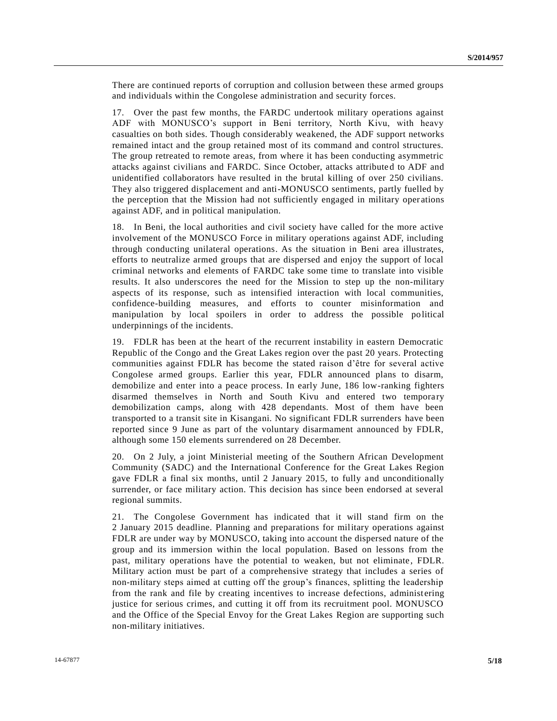There are continued reports of corruption and collusion between these armed groups and individuals within the Congolese administration and security forces.

17. Over the past few months, the FARDC undertook military operations against ADF with MONUSCO's support in Beni territory, North Kivu, with heavy casualties on both sides. Though considerably weakened, the ADF support networks remained intact and the group retained most of its command and control structures. The group retreated to remote areas, from where it has been conducting asymmetric attacks against civilians and FARDC. Since October, attacks attributed to ADF and unidentified collaborators have resulted in the brutal killing of over 250 civilians. They also triggered displacement and anti-MONUSCO sentiments, partly fuelled by the perception that the Mission had not sufficiently engaged in military oper ations against ADF, and in political manipulation.

18. In Beni, the local authorities and civil society have called for the more active involvement of the MONUSCO Force in military operations against ADF, including through conducting unilateral operations. As the situation in Beni area illustrates, efforts to neutralize armed groups that are dispersed and enjoy the support of local criminal networks and elements of FARDC take some time to translate into visible results. It also underscores the need for the Mission to step up the non-military aspects of its response, such as intensified interaction with local communities, confidence-building measures, and efforts to counter misinformation and manipulation by local spoilers in order to address the possible political underpinnings of the incidents.

19. FDLR has been at the heart of the recurrent instability in eastern Democratic Republic of the Congo and the Great Lakes region over the past 20 years. Protecting communities against FDLR has become the stated raison d'être for several active Congolese armed groups. Earlier this year, FDLR announced plans to disarm, demobilize and enter into a peace process. In early June, 186 low-ranking fighters disarmed themselves in North and South Kivu and entered two temporary demobilization camps, along with 428 dependants. Most of them have been transported to a transit site in Kisangani. No significant FDLR surrenders have been reported since 9 June as part of the voluntary disarmament announced by FDLR, although some 150 elements surrendered on 28 December.

20. On 2 July, a joint Ministerial meeting of the Southern African Development Community (SADC) and the International Conference for the Great Lakes Region gave FDLR a final six months, until 2 January 2015, to fully and unconditionally surrender, or face military action. This decision has since been endorsed at several regional summits.

21. The Congolese Government has indicated that it will stand firm on the 2 January 2015 deadline. Planning and preparations for military operations against FDLR are under way by MONUSCO, taking into account the dispersed nature of the group and its immersion within the local population. Based on lessons from the past, military operations have the potential to weaken, but not eliminate, FDLR. Military action must be part of a comprehensive strategy that includes a series of non-military steps aimed at cutting off the group's finances, splitting the leadership from the rank and file by creating incentives to increase defections, administering justice for serious crimes, and cutting it off from its recruitment pool. MONUSCO and the Office of the Special Envoy for the Great Lakes Region are supporting such non-military initiatives.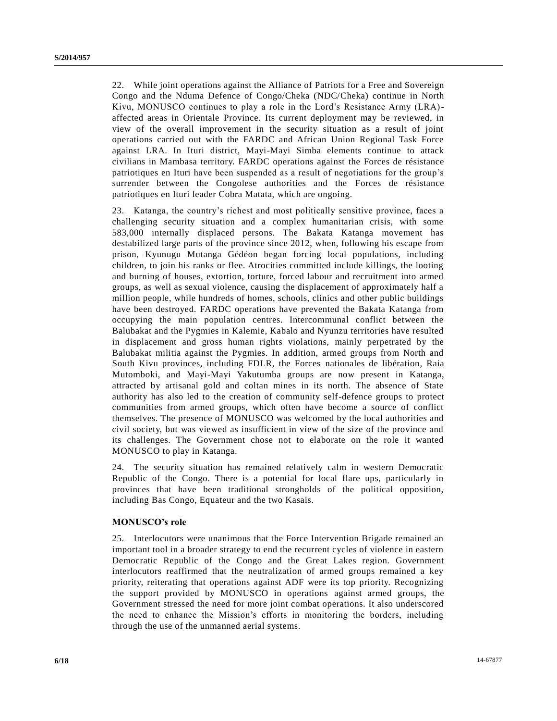22. While joint operations against the Alliance of Patriots for a Free and Sovereign Congo and the Nduma Defence of Congo/Cheka (NDC/Cheka) continue in North Kivu, MONUSCO continues to play a role in the Lord's Resistance Army (LRA) affected areas in Orientale Province. Its current deployment may be reviewed, in view of the overall improvement in the security situation as a result of joint operations carried out with the FARDC and African Union Regional Task Force against LRA. In Ituri district, Mayi-Mayi Simba elements continue to attack civilians in Mambasa territory. FARDC operations against the Forces de résistance patriotiques en Ituri have been suspended as a result of negotiations for the group's surrender between the Congolese authorities and the Forces de résistance patriotiques en Ituri leader Cobra Matata, which are ongoing.

23. Katanga, the country's richest and most politically sensitive province, faces a challenging security situation and a complex humanitarian crisis, with some 583,000 internally displaced persons. The Bakata Katanga movement has destabilized large parts of the province since 2012, when, following his escape from prison, Kyunugu Mutanga Gédéon began forcing local populations, including children, to join his ranks or flee. Atrocities committed include killings, the looting and burning of houses, extortion, torture, forced labour and recruitment into armed groups, as well as sexual violence, causing the displacement of approximately half a million people, while hundreds of homes, schools, clinics and other public buildings have been destroyed. FARDC operations have prevented the Bakata Katanga from occupying the main population centres. Intercommunal conflict between the Balubakat and the Pygmies in Kalemie, Kabalo and Nyunzu territories have resulted in displacement and gross human rights violations, mainly perpetrated by the Balubakat militia against the Pygmies. In addition, armed groups from North and South Kivu provinces, including FDLR, the Forces nationales de libération, Raia Mutomboki, and Mayi-Mayi Yakutumba groups are now present in Katanga, attracted by artisanal gold and coltan mines in its north. The absence of State authority has also led to the creation of community self-defence groups to protect communities from armed groups, which often have become a source of conflict themselves. The presence of MONUSCO was welcomed by the local authorities and civil society, but was viewed as insufficient in view of the size of the province and its challenges. The Government chose not to elaborate on the role it wanted MONUSCO to play in Katanga.

24. The security situation has remained relatively calm in western Democratic Republic of the Congo. There is a potential for local flare ups, particularly in provinces that have been traditional strongholds of the political opposition, including Bas Congo, Equateur and the two Kasais.

### **MONUSCO's role**

25. Interlocutors were unanimous that the Force Intervention Brigade remained an important tool in a broader strategy to end the recurrent cycles of violence in eastern Democratic Republic of the Congo and the Great Lakes region. Government interlocutors reaffirmed that the neutralization of armed groups remained a key priority, reiterating that operations against ADF were its top priority. Recognizing the support provided by MONUSCO in operations against armed groups, the Government stressed the need for more joint combat operations. It also underscored the need to enhance the Mission's efforts in monitoring the borders, including through the use of the unmanned aerial systems.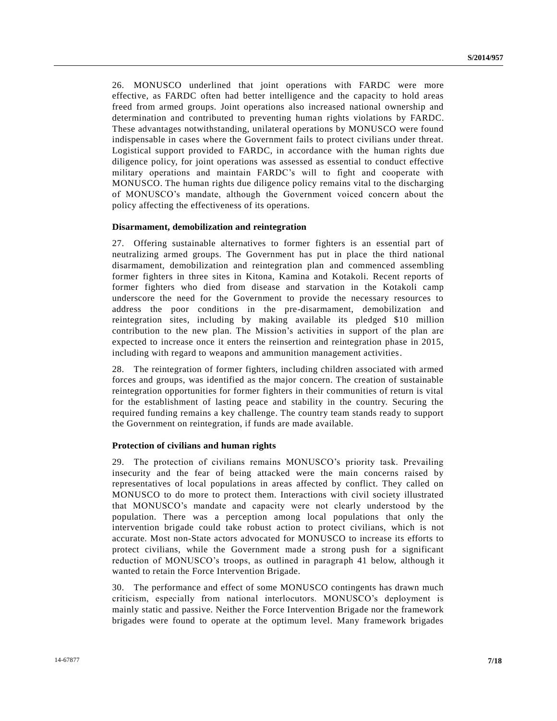26. MONUSCO underlined that joint operations with FARDC were more effective, as FARDC often had better intelligence and the capacity to hold areas freed from armed groups. Joint operations also increased national ownership and determination and contributed to preventing human rights violations by FARDC. These advantages notwithstanding, unilateral operations by MONUSCO were found indispensable in cases where the Government fails to protect civilians under threat. Logistical support provided to FARDC, in accordance with the human rights due diligence policy, for joint operations was assessed as essential to conduct effective military operations and maintain FARDC's will to fight and cooperate with MONUSCO. The human rights due diligence policy remains vital to the discharging of MONUSCO's mandate, although the Government voiced concern about the policy affecting the effectiveness of its operations.

#### **Disarmament, demobilization and reintegration**

27. Offering sustainable alternatives to former fighters is an essential part of neutralizing armed groups. The Government has put in place the third national disarmament, demobilization and reintegration plan and commenced assembling former fighters in three sites in Kitona, Kamina and Kotakoli. Recent reports of former fighters who died from disease and starvation in the Kotakoli camp underscore the need for the Government to provide the necessary resources to address the poor conditions in the pre-disarmament, demobilization and reintegration sites, including by making available its pledged \$10 million contribution to the new plan. The Mission's activities in support of the plan are expected to increase once it enters the reinsertion and reintegration phase in 2015, including with regard to weapons and ammunition management activities.

28. The reintegration of former fighters, including children associated with armed forces and groups, was identified as the major concern. The creation of sustainable reintegration opportunities for former fighters in their communities of return is vital for the establishment of lasting peace and stability in the country. Securing the required funding remains a key challenge. The country team stands ready to support the Government on reintegration, if funds are made available.

#### **Protection of civilians and human rights**

29. The protection of civilians remains MONUSCO's priority task. Prevailing insecurity and the fear of being attacked were the main concerns raised by representatives of local populations in areas affected by conflict. They called on MONUSCO to do more to protect them. Interactions with civil society illustrated that MONUSCO's mandate and capacity were not clearly understood by the population. There was a perception among local populations that only the intervention brigade could take robust action to protect civilians, which is not accurate. Most non-State actors advocated for MONUSCO to increase its efforts to protect civilians, while the Government made a strong push for a significant reduction of MONUSCO's troops, as outlined in paragraph 41 below, although it wanted to retain the Force Intervention Brigade.

30. The performance and effect of some MONUSCO contingents has drawn much criticism, especially from national interlocutors. MONUSCO's deployment is mainly static and passive. Neither the Force Intervention Brigade nor the framework brigades were found to operate at the optimum level. Many framework brigades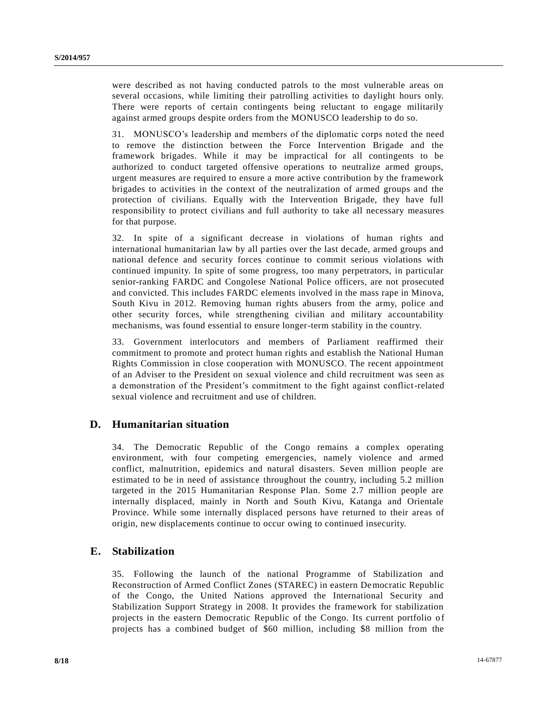were described as not having conducted patrols to the most vulnerable areas on several occasions, while limiting their patrolling activities to daylight hours only. There were reports of certain contingents being reluctant to engage militarily against armed groups despite orders from the MONUSCO leadership to do so.

31. MONUSCO's leadership and members of the diplomatic corps noted the need to remove the distinction between the Force Intervention Brigade and the framework brigades. While it may be impractical for all contingents to be authorized to conduct targeted offensive operations to neutralize armed groups, urgent measures are required to ensure a more active contribution by the framework brigades to activities in the context of the neutralization of armed groups and the protection of civilians. Equally with the Intervention Brigade, they have full responsibility to protect civilians and full authority to take all necessary measures for that purpose.

32. In spite of a significant decrease in violations of human rights and international humanitarian law by all parties over the last decade, armed groups and national defence and security forces continue to commit serious violations with continued impunity. In spite of some progress, too many perpetrators, in particular senior-ranking FARDC and Congolese National Police officers, are not prosecuted and convicted. This includes FARDC elements involved in the mass rape in Minova, South Kivu in 2012. Removing human rights abusers from the army, police and other security forces, while strengthening civilian and military accountability mechanisms, was found essential to ensure longer-term stability in the country.

33. Government interlocutors and members of Parliament reaffirmed their commitment to promote and protect human rights and establish the National Human Rights Commission in close cooperation with MONUSCO. The recent appointment of an Adviser to the President on sexual violence and child recruitment was seen as a demonstration of the President's commitment to the fight against conflict-related sexual violence and recruitment and use of children.

## **D. Humanitarian situation**

34. The Democratic Republic of the Congo remains a complex operating environment, with four competing emergencies, namely violence and armed conflict, malnutrition, epidemics and natural disasters. Seven million people are estimated to be in need of assistance throughout the country, including 5.2 million targeted in the 2015 Humanitarian Response Plan. Some 2.7 million people are internally displaced, mainly in North and South Kivu, Katanga and Orientale Province. While some internally displaced persons have returned to their areas of origin, new displacements continue to occur owing to continued insecurity.

## **E. Stabilization**

35. Following the launch of the national Programme of Stabilization and Reconstruction of Armed Conflict Zones (STAREC) in eastern Democratic Republic of the Congo, the United Nations approved the International Security and Stabilization Support Strategy in 2008. It provides the framework for stabilization projects in the eastern Democratic Republic of the Congo. Its current portfolio o f projects has a combined budget of \$60 million, including \$8 million from the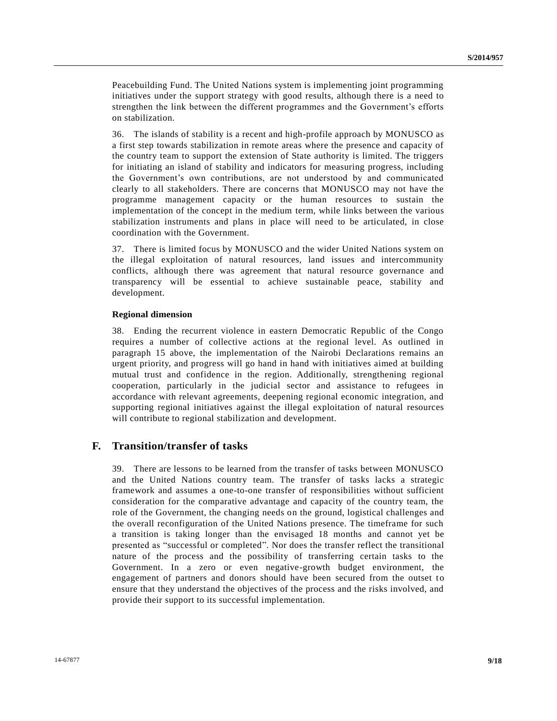Peacebuilding Fund. The United Nations system is implementing joint programming initiatives under the support strategy with good results, although there is a need to strengthen the link between the different programmes and the Government's efforts on stabilization.

36. The islands of stability is a recent and high-profile approach by MONUSCO as a first step towards stabilization in remote areas where the presence and capacity of the country team to support the extension of State authority is limited. The triggers for initiating an island of stability and indicators for measuring progress, including the Government's own contributions, are not understood by and communicated clearly to all stakeholders. There are concerns that MONUSCO may not have the programme management capacity or the human resources to sustain the implementation of the concept in the medium term, while links between the various stabilization instruments and plans in place will need to be articulated, in close coordination with the Government.

37. There is limited focus by MONUSCO and the wider United Nations system on the illegal exploitation of natural resources, land issues and intercommunity conflicts, although there was agreement that natural resource governance and transparency will be essential to achieve sustainable peace, stability and development.

#### **Regional dimension**

38. Ending the recurrent violence in eastern Democratic Republic of the Congo requires a number of collective actions at the regional level. As outlined in paragraph 15 above, the implementation of the Nairobi Declarations remains an urgent priority, and progress will go hand in hand with initiatives aimed at building mutual trust and confidence in the region. Additionally, strengthening regional cooperation, particularly in the judicial sector and assistance to refugees in accordance with relevant agreements, deepening regional economic integration, and supporting regional initiatives against the illegal exploitation of natural resources will contribute to regional stabilization and development.

### **F. Transition/transfer of tasks**

39. There are lessons to be learned from the transfer of tasks between MONUSCO and the United Nations country team. The transfer of tasks lacks a strategic framework and assumes a one-to-one transfer of responsibilities without sufficient consideration for the comparative advantage and capacity of the country team, the role of the Government, the changing needs on the ground, logistical challenges and the overall reconfiguration of the United Nations presence. The timeframe for such a transition is taking longer than the envisaged 18 months and cannot yet be presented as "successful or completed". Nor does the transfer reflect the transitional nature of the process and the possibility of transferring certain tasks to the Government. In a zero or even negative-growth budget environment, the engagement of partners and donors should have been secured from the outset to ensure that they understand the objectives of the process and the risks involved, and provide their support to its successful implementation.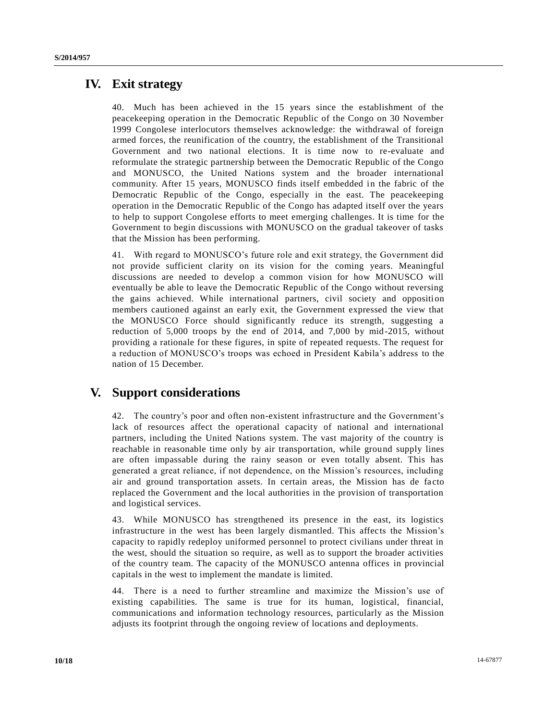# **IV. Exit strategy**

Much has been achieved in the 15 years since the establishment of the peacekeeping operation in the Democratic Republic of the Congo on 30 November 1999 Congolese interlocutors themselves acknowledge: the withdrawal of foreign armed forces, the reunification of the country, the establishment of the Transitional Government and two national elections. It is time now to re-evaluate and reformulate the strategic partnership between the Democratic Republic of the Congo and MONUSCO, the United Nations system and the broader international community. After 15 years, MONUSCO finds itself embedded in the fabric of the Democratic Republic of the Congo, especially in the east. The peacekeeping operation in the Democratic Republic of the Congo has adapted itself over the years to help to support Congolese efforts to meet emerging challenges. It is time for the Government to begin discussions with MONUSCO on the gradual takeover of tasks that the Mission has been performing.

41. With regard to MONUSCO's future role and exit strategy, the Government did not provide sufficient clarity on its vision for the coming years. Meaningful discussions are needed to develop a common vision for how MONUSCO will eventually be able to leave the Democratic Republic of the Congo without reversing the gains achieved. While international partners, civil society and opposition members cautioned against an early exit, the Government expressed the view that the MONUSCO Force should significantly reduce its strength, suggesting a reduction of 5,000 troops by the end of 2014, and 7,000 by mid-2015, without providing a rationale for these figures, in spite of repeated requests. The request for a reduction of MONUSCO's troops was echoed in President Kabila's address to the nation of 15 December.

# **V. Support considerations**

42. The country's poor and often non-existent infrastructure and the Government's lack of resources affect the operational capacity of national and international partners, including the United Nations system. The vast majority of the country is reachable in reasonable time only by air transportation, while ground supply lines are often impassable during the rainy season or even totally absent. This has generated a great reliance, if not dependence, on the Mission's resources, including air and ground transportation assets. In certain areas, the Mission has de facto replaced the Government and the local authorities in the provision of transportation and logistical services.

43. While MONUSCO has strengthened its presence in the east, its logistics infrastructure in the west has been largely dismantled. This affects the Mission's capacity to rapidly redeploy uniformed personnel to protect civilians under threat in the west, should the situation so require, as well as to support the broader activities of the country team. The capacity of the MONUSCO antenna offices in provincial capitals in the west to implement the mandate is limited.

44. There is a need to further streamline and maximize the Mission's use of existing capabilities. The same is true for its human, logistical, financial, communications and information technology resources, particularly as the Mission adjusts its footprint through the ongoing review of locations and deployments.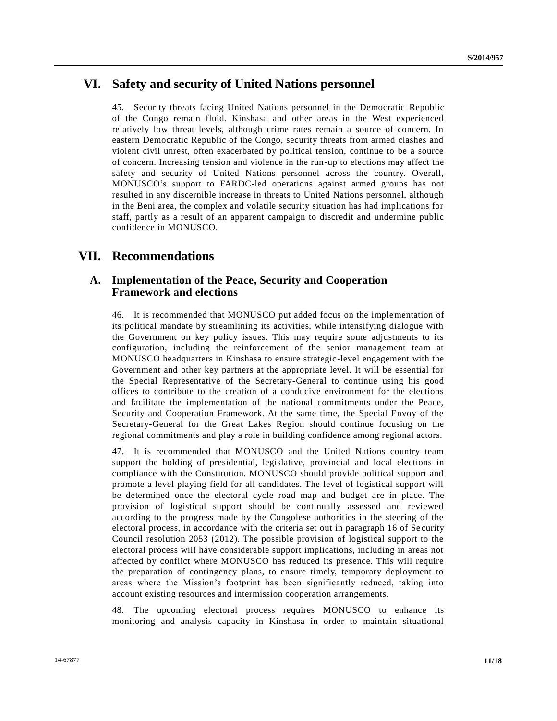# **VI. Safety and security of United Nations personnel**

45. Security threats facing United Nations personnel in the Democratic Republic of the Congo remain fluid. Kinshasa and other areas in the West experienced relatively low threat levels, although crime rates remain a source of concern. In eastern Democratic Republic of the Congo, security threats from armed clashes and violent civil unrest, often exacerbated by political tension, continue to be a source of concern. Increasing tension and violence in the run-up to elections may affect the safety and security of United Nations personnel across the country. Overall, MONUSCO's support to FARDC-led operations against armed groups has not resulted in any discernible increase in threats to United Nations personnel, although in the Beni area, the complex and volatile security situation has had implications for staff, partly as a result of an apparent campaign to discredit and undermine public confidence in MONUSCO.

## **VII. Recommendations**

## **A. Implementation of the Peace, Security and Cooperation Framework and elections**

46. It is recommended that MONUSCO put added focus on the implementation of its political mandate by streamlining its activities, while intensifying dialogue with the Government on key policy issues. This may require some adjustments to its configuration, including the reinforcement of the senior management team at MONUSCO headquarters in Kinshasa to ensure strategic-level engagement with the Government and other key partners at the appropriate level. It will be essential for the Special Representative of the Secretary-General to continue using his good offices to contribute to the creation of a conducive environment for the elections and facilitate the implementation of the national commitments under the Peace, Security and Cooperation Framework. At the same time, the Special Envoy of the Secretary-General for the Great Lakes Region should continue focusing on the regional commitments and play a role in building confidence among regional actors.

47. It is recommended that MONUSCO and the United Nations country team support the holding of presidential, legislative, provincial and local elections in compliance with the Constitution. MONUSCO should provide political support and promote a level playing field for all candidates. The level of logistical support will be determined once the electoral cycle road map and budget are in place. The provision of logistical support should be continually assessed and reviewed according to the progress made by the Congolese authorities in the steering of the electoral process, in accordance with the criteria set out in paragraph 16 of Se curity Council resolution 2053 (2012). The possible provision of logistical support to the electoral process will have considerable support implications, including in areas not affected by conflict where MONUSCO has reduced its presence. This will require the preparation of contingency plans, to ensure timely, temporary deployment to areas where the Mission's footprint has been significantly reduced, taking into account existing resources and intermission cooperation arrangements.

48. The upcoming electoral process requires MONUSCO to enhance its monitoring and analysis capacity in Kinshasa in order to maintain situational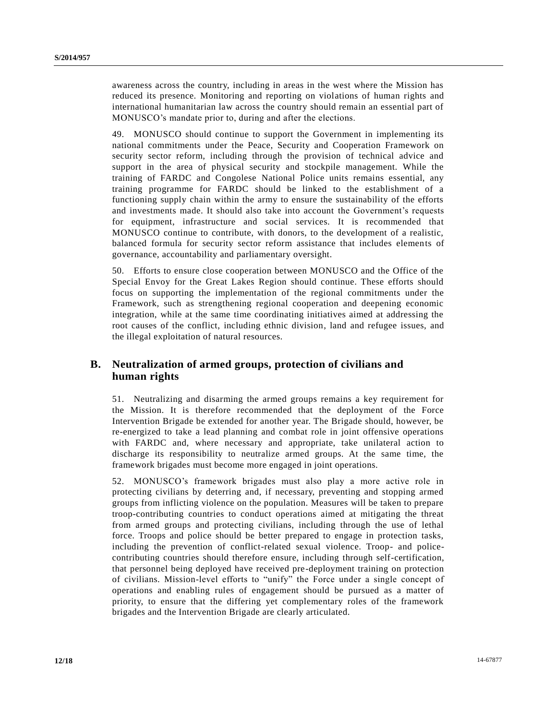awareness across the country, including in areas in the west where the Mission has reduced its presence. Monitoring and reporting on violations of human rights and international humanitarian law across the country should remain an essential part of MONUSCO's mandate prior to, during and after the elections.

49. MONUSCO should continue to support the Government in implementing its national commitments under the Peace, Security and Cooperation Framework on security sector reform, including through the provision of technical advice and support in the area of physical security and stockpile management. While the training of FARDC and Congolese National Police units remains essential, any training programme for FARDC should be linked to the establishment of a functioning supply chain within the army to ensure the sustainability of the efforts and investments made. It should also take into account the Government's requests for equipment, infrastructure and social services. It is recommended that MONUSCO continue to contribute, with donors, to the development of a realistic, balanced formula for security sector reform assistance that includes elements of governance, accountability and parliamentary oversight.

50. Efforts to ensure close cooperation between MONUSCO and the Office of the Special Envoy for the Great Lakes Region should continue. These efforts should focus on supporting the implementation of the regional commitments under the Framework, such as strengthening regional cooperation and deepening economic integration, while at the same time coordinating initiatives aimed at addressing the root causes of the conflict, including ethnic division, land and refugee issues, and the illegal exploitation of natural resources.

## **B. Neutralization of armed groups, protection of civilians and human rights**

51. Neutralizing and disarming the armed groups remains a key requirement for the Mission. It is therefore recommended that the deployment of the Force Intervention Brigade be extended for another year. The Brigade should, however, be re-energized to take a lead planning and combat role in joint offensive operations with FARDC and, where necessary and appropriate, take unilateral action to discharge its responsibility to neutralize armed groups. At the same time, the framework brigades must become more engaged in joint operations.

52. MONUSCO's framework brigades must also play a more active role in protecting civilians by deterring and, if necessary, preventing and stopping armed groups from inflicting violence on the population. Measures will be taken to prepare troop-contributing countries to conduct operations aimed at mitigating the threat from armed groups and protecting civilians, including through the use of lethal force. Troops and police should be better prepared to engage in protection tasks, including the prevention of conflict-related sexual violence. Troop- and policecontributing countries should therefore ensure, including through self-certification, that personnel being deployed have received pre-deployment training on protection of civilians. Mission-level efforts to "unify" the Force under a single concept of operations and enabling rules of engagement should be pursued as a matter of priority, to ensure that the differing yet complementary roles of the framework brigades and the Intervention Brigade are clearly articulated.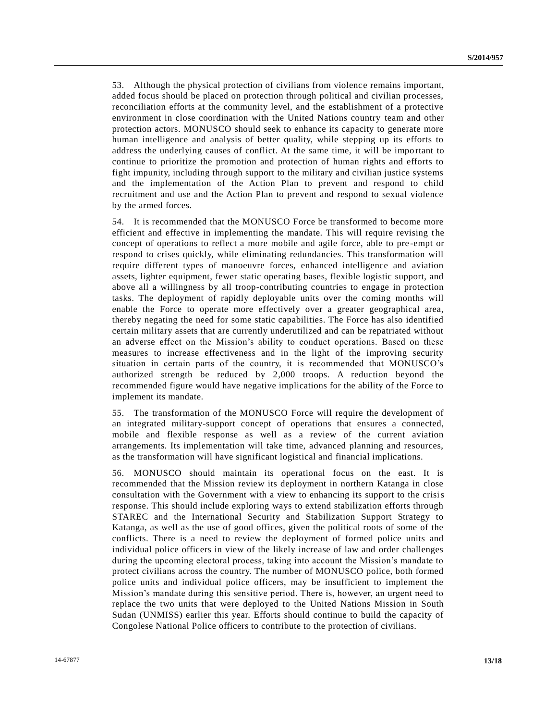53. Although the physical protection of civilians from violence remains important, added focus should be placed on protection through political and civilian processes, reconciliation efforts at the community level, and the establishment of a protective environment in close coordination with the United Nations country team and other protection actors. MONUSCO should seek to enhance its capacity to generate more human intelligence and analysis of better quality, while stepping up its efforts to address the underlying causes of conflict. At the same time, it will be impo rtant to continue to prioritize the promotion and protection of human rights and efforts to fight impunity, including through support to the military and civilian justice systems and the implementation of the Action Plan to prevent and respond to child recruitment and use and the Action Plan to prevent and respond to sexual violence by the armed forces.

54. It is recommended that the MONUSCO Force be transformed to become more efficient and effective in implementing the mandate. This will require revising the concept of operations to reflect a more mobile and agile force, able to pre -empt or respond to crises quickly, while eliminating redundancies. This transformation will require different types of manoeuvre forces, enhanced intelligence and aviation assets, lighter equipment, fewer static operating bases, flexible logistic support, and above all a willingness by all troop-contributing countries to engage in protection tasks. The deployment of rapidly deployable units over the coming months will enable the Force to operate more effectively over a greater geographical area, thereby negating the need for some static capabilities. The Force has also identified certain military assets that are currently underutilized and can be repatriated without an adverse effect on the Mission's ability to conduct operations. Based on these measures to increase effectiveness and in the light of the improving security situation in certain parts of the country, it is recommended that MONUSCO's authorized strength be reduced by 2,000 troops. A reduction beyond the recommended figure would have negative implications for the ability of the Force to implement its mandate.

55. The transformation of the MONUSCO Force will require the development of an integrated military-support concept of operations that ensures a connected, mobile and flexible response as well as a review of the current aviation arrangements. Its implementation will take time, advanced planning and resources, as the transformation will have significant logistical and financial implications.

56. MONUSCO should maintain its operational focus on the east. It is recommended that the Mission review its deployment in northern Katanga in close consultation with the Government with a view to enhancing its support to the crisis response. This should include exploring ways to extend stabilization efforts through STAREC and the International Security and Stabilization Support Strategy to Katanga, as well as the use of good offices, given the political roots of some of the conflicts. There is a need to review the deployment of formed police units and individual police officers in view of the likely increase of law and order challenges during the upcoming electoral process, taking into account the Mission's mandate to protect civilians across the country. The number of MONUSCO police, both formed police units and individual police officers, may be insufficient to implement the Mission's mandate during this sensitive period. There is, however, an urgent need to replace the two units that were deployed to the United Nations Mission in South Sudan (UNMISS) earlier this year. Efforts should continue to build the capacity of Congolese National Police officers to contribute to the protection of civilians.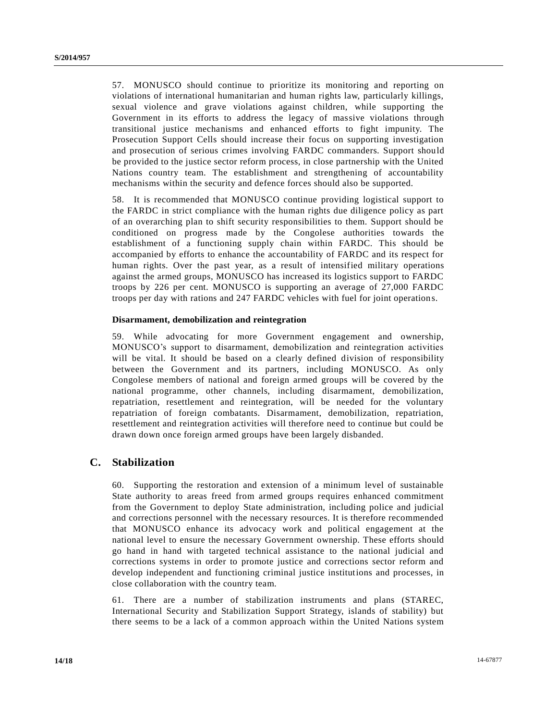57. MONUSCO should continue to prioritize its monitoring and reporting on violations of international humanitarian and human rights law, particularly killings, sexual violence and grave violations against children, while supporting the Government in its efforts to address the legacy of massive violations through transitional justice mechanisms and enhanced efforts to fight impunity. The Prosecution Support Cells should increase their focus on supporting investigation and prosecution of serious crimes involving FARDC commanders. Support should be provided to the justice sector reform process, in close partnership with the United Nations country team. The establishment and strengthening of accountability mechanisms within the security and defence forces should also be supported.

58. It is recommended that MONUSCO continue providing logistical support to the FARDC in strict compliance with the human rights due diligence policy as part of an overarching plan to shift security responsibilities to them. Support should be conditioned on progress made by the Congolese authorities towards the establishment of a functioning supply chain within FARDC. This should be accompanied by efforts to enhance the accountability of FARDC and its respect for human rights. Over the past year, as a result of intensified military operations against the armed groups, MONUSCO has increased its logistics support to FARDC troops by 226 per cent. MONUSCO is supporting an average of 27,000 FARDC troops per day with rations and 247 FARDC vehicles with fuel for joint operation s.

### **Disarmament, demobilization and reintegration**

59. While advocating for more Government engagement and ownership, MONUSCO's support to disarmament, demobilization and reintegration activities will be vital. It should be based on a clearly defined division of responsibility between the Government and its partners, including MONUSCO. As only Congolese members of national and foreign armed groups will be covered by the national programme, other channels, including disarmament, demobilization, repatriation, resettlement and reintegration, will be needed for the voluntary repatriation of foreign combatants. Disarmament, demobilization, repatriation, resettlement and reintegration activities will therefore need to continue but could be drawn down once foreign armed groups have been largely disbanded.

### **C. Stabilization**

60. Supporting the restoration and extension of a minimum level of sustainable State authority to areas freed from armed groups requires enhanced commitment from the Government to deploy State administration, including police and judicial and corrections personnel with the necessary resources. It is therefore recommended that MONUSCO enhance its advocacy work and political engagement at the national level to ensure the necessary Government ownership. These efforts should go hand in hand with targeted technical assistance to the national judicial and corrections systems in order to promote justice and corrections sector reform and develop independent and functioning criminal justice institutions and processes, in close collaboration with the country team.

61. There are a number of stabilization instruments and plans (STAREC, International Security and Stabilization Support Strategy, islands of stability) but there seems to be a lack of a common approach within the United Nations system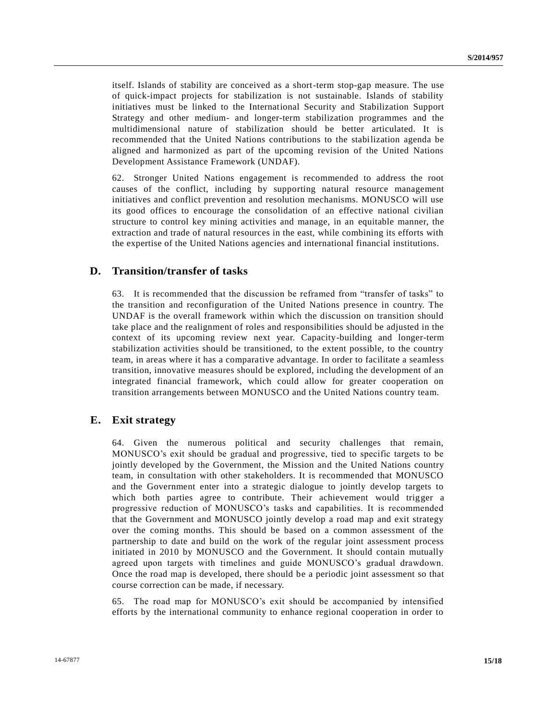itself. Islands of stability are conceived as a short-term stop-gap measure. The use of quick-impact projects for stabilization is not sustainable. Islands of stability initiatives must be linked to the International Security and Stabilization Support Strategy and other medium- and longer-term stabilization programmes and the multidimensional nature of stabilization should be better articulated. It is recommended that the United Nations contributions to the stabilization agenda be aligned and harmonized as part of the upcoming revision of the United Nations Development Assistance Framework (UNDAF).

62. Stronger United Nations engagement is recommended to address the root causes of the conflict, including by supporting natural resource management initiatives and conflict prevention and resolution mechanisms. MONUSCO will use its good offices to encourage the consolidation of an effective national civilian structure to control key mining activities and manage, in an equitable manner, the extraction and trade of natural resources in the east, while combining its efforts with the expertise of the United Nations agencies and international financial institutions.

### **D. Transition/transfer of tasks**

63. It is recommended that the discussion be reframed from "transfer of tasks" to the transition and reconfiguration of the United Nations presence in country. The UNDAF is the overall framework within which the discussion on transition should take place and the realignment of roles and responsibilities should be adjusted in the context of its upcoming review next year. Capacity-building and longer-term stabilization activities should be transitioned, to the extent possible, to the country team, in areas where it has a comparative advantage. In order to facilitate a seamless transition, innovative measures should be explored, including the development of an integrated financial framework, which could allow for greater cooperation on transition arrangements between MONUSCO and the United Nations country team.

### **E. Exit strategy**

64. Given the numerous political and security challenges that remain, MONUSCO's exit should be gradual and progressive, tied to specific targets to be jointly developed by the Government, the Mission and the United Nations country team, in consultation with other stakeholders. It is recommended that MONUSCO and the Government enter into a strategic dialogue to jointly develop targets to which both parties agree to contribute. Their achievement would trigger a progressive reduction of MONUSCO's tasks and capabilities. It is recommended that the Government and MONUSCO jointly develop a road map and exit strategy over the coming months. This should be based on a common assessment of the partnership to date and build on the work of the regular joint assessment process initiated in 2010 by MONUSCO and the Government. It should contain mutually agreed upon targets with timelines and guide MONUSCO's gradual drawdown. Once the road map is developed, there should be a periodic joint assessment so that course correction can be made, if necessary.

65. The road map for MONUSCO's exit should be accompanied by intensified efforts by the international community to enhance regional cooperation in order to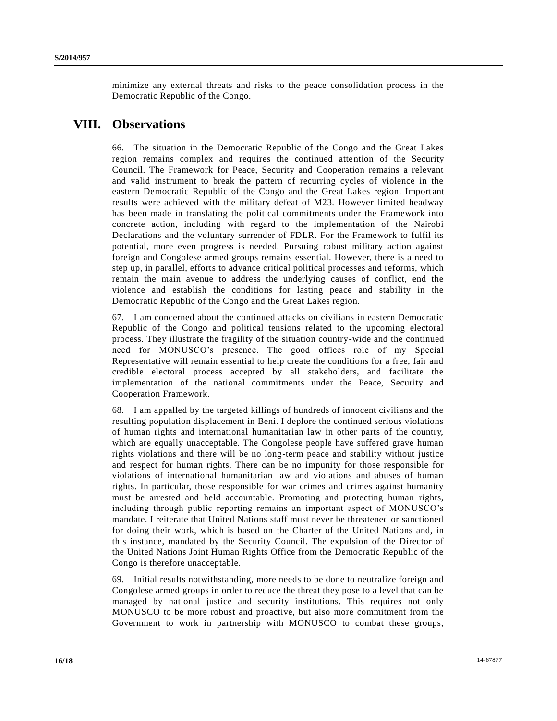minimize any external threats and risks to the peace consolidation process in the Democratic Republic of the Congo.

# **VIII. Observations**

66. The situation in the Democratic Republic of the Congo and the Great Lakes region remains complex and requires the continued attention of the Security Council. The Framework for Peace, Security and Cooperation remains a relevant and valid instrument to break the pattern of recurring cycles of violence in the eastern Democratic Republic of the Congo and the Great Lakes region. Important results were achieved with the military defeat of M23. However limited headway has been made in translating the political commitments under the Framework into concrete action, including with regard to the implementation of the Nairobi Declarations and the voluntary surrender of FDLR. For the Framework to fulfil its potential, more even progress is needed. Pursuing robust military action against foreign and Congolese armed groups remains essential. However, there is a need to step up, in parallel, efforts to advance critical political processes and reforms, which remain the main avenue to address the underlying causes of conflict, end the violence and establish the conditions for lasting peace and stability in the Democratic Republic of the Congo and the Great Lakes region.

67. I am concerned about the continued attacks on civilians in eastern Democratic Republic of the Congo and political tensions related to the upcoming electoral process. They illustrate the fragility of the situation country-wide and the continued need for MONUSCO's presence. The good offices role of my Special Representative will remain essential to help create the conditions for a free, fair and credible electoral process accepted by all stakeholders, and facilitate the implementation of the national commitments under the Peace, Security and Cooperation Framework.

68. I am appalled by the targeted killings of hundreds of innocent civilians and the resulting population displacement in Beni. I deplore the continued serious violations of human rights and international humanitarian law in other parts of the country, which are equally unacceptable. The Congolese people have suffered grave human rights violations and there will be no long-term peace and stability without justice and respect for human rights. There can be no impunity for those responsible for violations of international humanitarian law and violations and abuses of human rights. In particular, those responsible for war crimes and crimes against humanity must be arrested and held accountable. Promoting and protecting human rights, including through public reporting remains an important aspect of MONUSCO's mandate. I reiterate that United Nations staff must never be threatened or sanctioned for doing their work, which is based on the Charter of the United Nations and, in this instance, mandated by the Security Council. The expulsion of the Director of the United Nations Joint Human Rights Office from the Democratic Republic of the Congo is therefore unacceptable.

69. Initial results notwithstanding, more needs to be done to neutralize foreign and Congolese armed groups in order to reduce the threat they pose to a level that can be managed by national justice and security institutions. This requires not only MONUSCO to be more robust and proactive, but also more commitment from the Government to work in partnership with MONUSCO to combat these groups,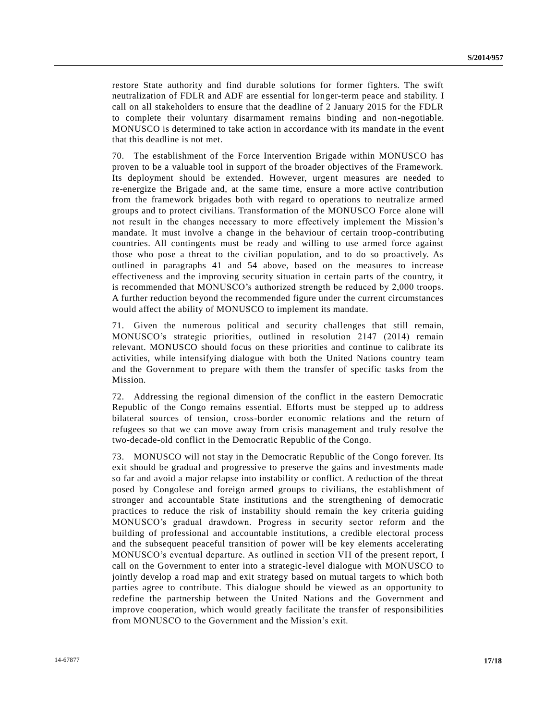restore State authority and find durable solutions for former fighters. The swift neutralization of FDLR and ADF are essential for longer-term peace and stability. I call on all stakeholders to ensure that the deadline of 2 January 2015 for the FDLR to complete their voluntary disarmament remains binding and non-negotiable. MONUSCO is determined to take action in accordance with its mandate in the event that this deadline is not met.

70. The establishment of the Force Intervention Brigade within MONUSCO has proven to be a valuable tool in support of the broader objectives of the Framework. Its deployment should be extended. However, urgent measures are needed to re-energize the Brigade and, at the same time, ensure a more active contribution from the framework brigades both with regard to operations to neutralize armed groups and to protect civilians. Transformation of the MONUSCO Force alone will not result in the changes necessary to more effectively implement the Mission's mandate. It must involve a change in the behaviour of certain troop-contributing countries. All contingents must be ready and willing to use armed force against those who pose a threat to the civilian population, and to do so proactively. As outlined in paragraphs 41 and 54 above, based on the measures to increase effectiveness and the improving security situation in certain parts of the country, it is recommended that MONUSCO's authorized strength be reduced by 2,000 troops. A further reduction beyond the recommended figure under the current circumstances would affect the ability of MONUSCO to implement its mandate.

71. Given the numerous political and security challenges that still remain, MONUSCO's strategic priorities, outlined in resolution 2147 (2014) remain relevant. MONUSCO should focus on these priorities and continue to calibrate its activities, while intensifying dialogue with both the United Nations country team and the Government to prepare with them the transfer of specific tasks from the Mission.

72. Addressing the regional dimension of the conflict in the eastern Democratic Republic of the Congo remains essential. Efforts must be stepped up to address bilateral sources of tension, cross-border economic relations and the return of refugees so that we can move away from crisis management and truly resolve the two-decade-old conflict in the Democratic Republic of the Congo.

73. MONUSCO will not stay in the Democratic Republic of the Congo forever. Its exit should be gradual and progressive to preserve the gains and investments made so far and avoid a major relapse into instability or conflict. A reduction of the threat posed by Congolese and foreign armed groups to civilians, the establishment of stronger and accountable State institutions and the strengthening of democratic practices to reduce the risk of instability should remain the key criteria guiding MONUSCO's gradual drawdown. Progress in security sector reform and the building of professional and accountable institutions, a credible electoral process and the subsequent peaceful transition of power will be key elements accelerating MONUSCO's eventual departure. As outlined in section VII of the present report, I call on the Government to enter into a strategic-level dialogue with MONUSCO to jointly develop a road map and exit strategy based on mutual targets to which both parties agree to contribute. This dialogue should be viewed as an opportunity to redefine the partnership between the United Nations and the Government and improve cooperation, which would greatly facilitate the transfer of responsibilities from MONUSCO to the Government and the Mission's exit.